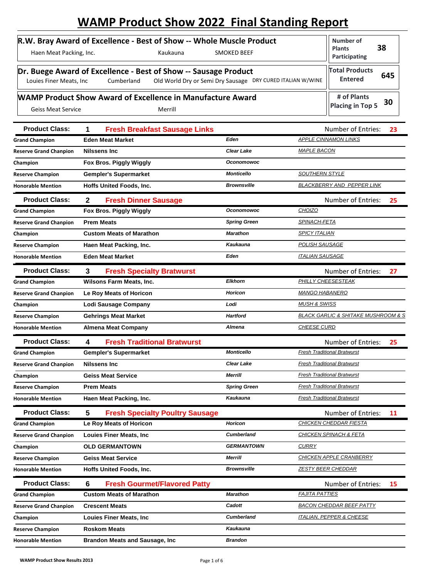## **WAMP Product Show 2022 Final Standing Report**

| Haen Meat Packing, Inc.   | R.W. Bray Award of Excellence - Best of Show -- Whole Muscle Product<br><b>SMOKED BEEF</b><br>Kaukauna                                      | Number of<br>38<br><b>Plants</b><br>Participating |
|---------------------------|---------------------------------------------------------------------------------------------------------------------------------------------|---------------------------------------------------|
| Louies Finer Meats, Inc   | Dr. Buege Award of Excellence - Best of Show -- Sausage Product<br>Old World Dry or Semi Dry Sausage DRY CURED ITALIAN W/WINE<br>Cumberland | <b>Total Products</b><br>645<br><b>Entered</b>    |
| <b>Geiss Meat Service</b> | <b>WAMP Product Show Award of Excellence in Manufacture Award</b><br>Merrill                                                                | # of Plants<br>30<br><b>Placing in Top 5</b>      |

| <b>Product Class:</b>         | 1<br><b>Fresh Breakfast Sausage Links</b>   |                     | Number of Entries:<br>23                           |
|-------------------------------|---------------------------------------------|---------------------|----------------------------------------------------|
| <b>Grand Champion</b>         | <b>Eden Meat Market</b>                     | Eden                | <b>APPLE CINNAMON LINKS</b>                        |
| <b>Reserve Grand Chanpion</b> | Nilssens Inc                                | Clear Lake          | <b>MAPLE BACON</b>                                 |
| Champion                      | Fox Bros. Piggly Wiggly                     | <b>Oconomowoc</b>   |                                                    |
| <b>Reserve Champion</b>       | Gempler's Supermarket                       | <b>Monticello</b>   | <b>SOUTHERN STYLE</b>                              |
| <b>Honorable Mention</b>      | Hoffs United Foods, Inc.                    | <b>Brownsville</b>  | BLACKBERRY AND PEPPER LINK                         |
| <b>Product Class:</b>         | $\mathbf{2}$<br><b>Fresh Dinner Sausage</b> |                     | Number of Entries:<br>25                           |
| <b>Grand Champion</b>         | Fox Bros. Piggly Wiggly                     | <b>Oconomowoc</b>   | <b>CHOIZO</b>                                      |
| <b>Reserve Grand Chanpion</b> | <b>Prem Meats</b>                           | <b>Spring Green</b> | <b>SPINACH-FETA</b>                                |
| Champion                      | <b>Custom Meats of Marathon</b>             | <b>Marathon</b>     | <b>SPICY ITALIAN</b>                               |
| <b>Reserve Champion</b>       | Haen Meat Packing, Inc.                     | Kaukauna            | <b>POLISH SAUSAGE</b>                              |
| <b>Honorable Mention</b>      | <b>Eden Meat Market</b>                     | Eden                | <b>ITALIAN SAUSAGE</b>                             |
| <b>Product Class:</b>         | 3<br><b>Fresh Specialty Bratwurst</b>       |                     | <b>Number of Entries:</b><br>27                    |
| <b>Grand Champion</b>         | Wilsons Farm Meats, Inc.                    | <b>Elkhorn</b>      | PHILLY CHEESESTEAK                                 |
| <b>Reserve Grand Chanpion</b> | Le Roy Meats of Horicon                     | Horicon             | <b>MANGO HABANERO</b>                              |
| Champion                      | Lodi Sausage Company                        | Lodi                | <b>MUSH &amp; SWISS</b>                            |
| <b>Reserve Champion</b>       | <b>Gehrings Meat Market</b>                 | <b>Hartford</b>     | <b>BLACK GARLIC &amp; SHITAKE MUSHROOM &amp; S</b> |
| <b>Honorable Mention</b>      | <b>Almena Meat Company</b>                  | <b>Almena</b>       | <b>CHEESE CURD</b>                                 |
| <b>Product Class:</b>         | <b>Fresh Traditional Bratwurst</b><br>4     |                     | Number of Entries:<br>25                           |
| <b>Grand Champion</b>         | <b>Gempler's Supermarket</b>                | <b>Monticello</b>   | <b>Fresh Traditional Bratwurst</b>                 |
| <b>Reserve Grand Chanpion</b> | <b>Nilssens Inc</b>                         | <b>Clear Lake</b>   | <b>Fresh Traditional Bratwurst</b>                 |
| Champion                      | <b>Geiss Meat Service</b>                   | <b>Merrill</b>      | <b>Fresh Traditional Bratwurst</b>                 |
| <b>Reserve Champion</b>       | <b>Prem Meats</b>                           | <b>Spring Green</b> | <b>Fresh Traditional Bratwurst</b>                 |
| <b>Honorable Mention</b>      | Haen Meat Packing, Inc.                     | Kaukauna            | <b>Fresh Traditional Bratwurst</b>                 |
| <b>Product Class:</b>         | 5<br><b>Fresh Specialty Poultry Sausage</b> |                     | Number of Entries:<br>11                           |
| <b>Grand Champion</b>         | Le Roy Meats of Horicon                     | <b>Horicon</b>      | CHICKEN CHEDDAR FIESTA                             |
| <b>Reserve Grand Chanpion</b> | <b>Louies Finer Meats, Inc</b>              | <b>Cumberland</b>   | <b>CHICKEN SPINACH &amp; FETA</b>                  |
| Champion                      | <b>OLD GERMANTOWN</b>                       | <b>GERMANTOWN</b>   | <b>CURRY</b>                                       |
| <b>Reserve Champion</b>       | <b>Geiss Meat Service</b>                   | <b>Merrill</b>      | CHICKEN APPLE CRANBERRY                            |
| <b>Honorable Mention</b>      | <b>Hoffs United Foods, Inc.</b>             | <b>Brownsville</b>  | <b>ZESTY BEER CHEDDAR</b>                          |
| <b>Product Class:</b>         | 6<br><b>Fresh Gourmet/Flavored Patty</b>    |                     | Number of Entries:<br>15                           |
| <b>Grand Champion</b>         | <b>Custom Meats of Marathon</b>             | Marathon            | <b>FAJITA PATTIES</b>                              |
| <b>Reserve Grand Chanpion</b> | <b>Crescent Meats</b>                       | Cadott              | <b>BACON CHEDDAR BEEF PATTY</b>                    |
| Champion                      | <b>Louies Finer Meats, Inc</b>              | <b>Cumberland</b>   | <b>ITALIAN, PEPPER &amp; CHEESE</b>                |
| <b>Reserve Champion</b>       | <b>Roskom Meats</b>                         | Kaukauna            |                                                    |
| <b>Honorable Mention</b>      | <b>Brandon Meats and Sausage, Inc.</b>      | <b>Brandon</b>      |                                                    |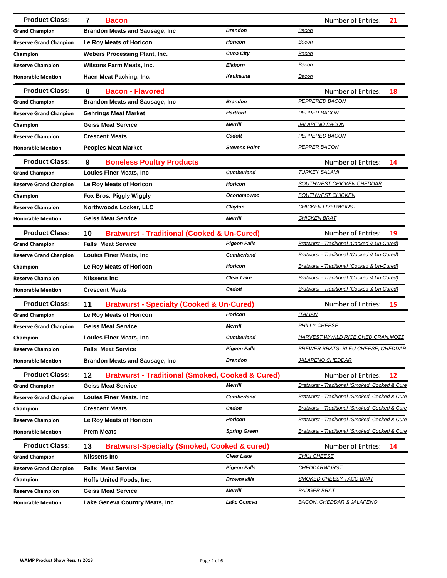| <b>Product Class:</b>         | $\overline{7}$<br><b>Bacon</b>                                    |                      | <b>Number of Entries:</b><br>21                |
|-------------------------------|-------------------------------------------------------------------|----------------------|------------------------------------------------|
| <b>Grand Champion</b>         | <b>Brandon Meats and Sausage, Inc</b>                             | <b>Brandon</b>       | <u>Bacon</u>                                   |
| <b>Reserve Grand Chanpion</b> | Le Roy Meats of Horicon                                           | <b>Horicon</b>       | Bacon                                          |
| Champion                      | <b>Webers Processing Plant, Inc.</b>                              | <b>Cuba City</b>     | Bacon                                          |
| <b>Reserve Champion</b>       | Wilsons Farm Meats, Inc.                                          | <b>Elkhorn</b>       | Bacon                                          |
| <b>Honorable Mention</b>      | Haen Meat Packing, Inc.                                           | <b>Kaukauna</b>      | <b>Bacon</b>                                   |
| <b>Product Class:</b>         | 8<br><b>Bacon - Flavored</b>                                      |                      | <b>Number of Entries:</b><br>18                |
| <b>Grand Champion</b>         | <b>Brandon Meats and Sausage, Inc.</b>                            | <b>Brandon</b>       | PEPPERED BACON                                 |
| <b>Reserve Grand Chanpion</b> | <b>Gehrings Meat Market</b>                                       | <b>Hartford</b>      | PEPPER BACON                                   |
| Champion                      | <b>Geiss Meat Service</b>                                         | <b>Merrill</b>       | <b>JALAPENO BACON</b>                          |
| <b>Reserve Champion</b>       | <b>Crescent Meats</b>                                             | Cadott               | <b>PEPPERED BACON</b>                          |
| <b>Honorable Mention</b>      | <b>Peoples Meat Market</b>                                        | <b>Stevens Point</b> | <b>PEPPER BACON</b>                            |
| <b>Product Class:</b>         | 9<br><b>Boneless Poultry Products</b>                             |                      | <b>Number of Entries:</b><br>14                |
| <b>Grand Champion</b>         | <b>Louies Finer Meats, Inc.</b>                                   | <b>Cumberland</b>    | <b>TURKEY SALAMI</b>                           |
| <b>Reserve Grand Chanpion</b> | Le Roy Meats of Horicon                                           | Horicon              | SOUTHWEST CHICKEN CHEDDAR                      |
| Champion                      | Fox Bros. Piggly Wiggly                                           | <b>Oconomowoc</b>    | SOUTHWEST CHICKEN                              |
| <b>Reserve Champion</b>       | Northwoods Locker, LLC                                            | Clayton              | <b>CHICKEN LIVERWURST</b>                      |
| <b>Honorable Mention</b>      | <b>Geiss Meat Service</b>                                         | <b>Merrill</b>       | <b>CHICKEN BRAT</b>                            |
| <b>Product Class:</b>         | <b>Bratwurst - Traditional (Cooked &amp; Un-Cured)</b><br>10      |                      | Number of Entries:<br>19                       |
| <b>Grand Champion</b>         | <b>Falls Meat Service</b>                                         | <b>Pigeon Falls</b>  | Bratwurst - Traditional (Cooked & Un-Cured)    |
| <b>Reserve Grand Chanpion</b> | <b>Louies Finer Meats, Inc.</b>                                   | <b>Cumberland</b>    | Bratwurst - Traditional (Cooked & Un-Cured)    |
| Champion                      | Le Roy Meats of Horicon                                           | <b>Horicon</b>       | Bratwurst - Traditional (Cooked & Un-Cured)    |
| <b>Reserve Champion</b>       | <b>Nilssens Inc</b>                                               | <b>Clear Lake</b>    | Bratwurst - Traditional (Cooked & Un-Cured)    |
| <b>Honorable Mention</b>      | <b>Crescent Meats</b>                                             | Cadott               | Bratwurst - Traditional (Cooked & Un-Cured)    |
| <b>Product Class:</b>         | 11<br><b>Bratwurst - Specialty (Cooked &amp; Un-Cured)</b>        |                      | Number of Entries:<br>15                       |
| <b>Grand Champion</b>         | Le Roy Meats of Horicon                                           | <b>Horicon</b>       | <b>ITALIAN</b>                                 |
| <b>Reserve Grand Chanpion</b> | <b>Geiss Meat Service</b>                                         | <b>Merrill</b>       | PHILLY CHEESE                                  |
| Champion                      | <b>Louies Finer Meats, Inc.</b>                                   | <b>Cumberland</b>    | HARVEST W/WILD RICE, CHED, CRAN, MOZZ          |
| <b>Reserve Champion</b>       | <b>Falls Meat Service</b>                                         | <b>Pigeon Falls</b>  | <b>BREWER BRATS- BLEU CHEESE, CHEDDAR</b>      |
| <b>Honorable Mention</b>      | <b>Brandon Meats and Sausage, Inc.</b>                            | <b>Brandon</b>       | <b>JALAPENO CHEDDAR</b>                        |
| <b>Product Class:</b>         | 12<br><b>Bratwurst - Traditional (Smoked, Cooked &amp; Cured)</b> |                      | Number of Entries:<br>12                       |
| <b>Grand Champion</b>         | <b>Geiss Meat Service</b>                                         | Merrill              | Bratwurst - Traditional (Smoked, Cooked & Cure |
| <b>Reserve Grand Chanpion</b> | <b>Louies Finer Meats, Inc.</b>                                   | <b>Cumberland</b>    | Bratwurst - Traditional (Smoked, Cooked & Cure |
| Champion                      | <b>Crescent Meats</b>                                             | Cadott               | Bratwurst - Traditional (Smoked, Cooked & Cure |
| <b>Reserve Champion</b>       | Le Roy Meats of Horicon                                           | <b>Horicon</b>       | Bratwurst - Traditional (Smoked, Cooked & Cure |
| <b>Honorable Mention</b>      | <b>Prem Meats</b>                                                 | <b>Spring Green</b>  | Bratwurst - Traditional (Smoked, Cooked & Cure |
| <b>Product Class:</b>         | <b>Bratwurst-Specialty (Smoked, Cooked &amp; cured)</b><br>13     |                      | Number of Entries:<br>14                       |
| <b>Grand Champion</b>         | <b>Nilssens Inc</b>                                               | <b>Clear Lake</b>    | <b>CHILI CHEESE</b>                            |
| <b>Reserve Grand Chanpion</b> | <b>Falls Meat Service</b>                                         | Pigeon Falls         | <b>CHEDDARWURST</b>                            |
| Champion                      | Hoffs United Foods, Inc.                                          | <b>Brownsville</b>   | <b>SMOKED CHEESY TACO BRAT</b>                 |
| <b>Reserve Champion</b>       | <b>Geiss Meat Service</b>                                         | <b>Merrill</b>       | <u>BADGER BRAT</u>                             |
| <b>Honorable Mention</b>      | Lake Geneva Country Meats, Inc.                                   | <b>Lake Geneva</b>   | <u>BACON, CHEDDAR &amp; JALAPENO</u>           |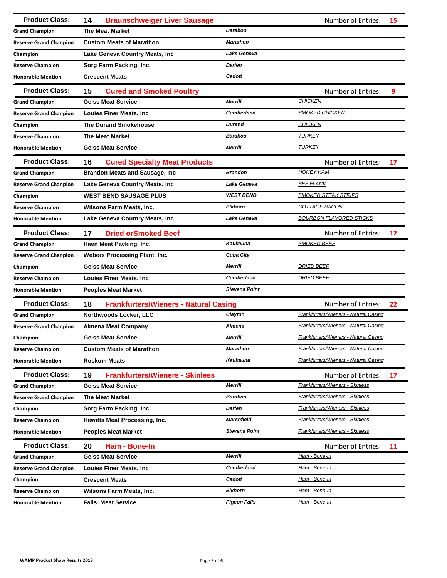| <b>Product Class:</b>         | <b>Braunschweiger Liver Sausage</b><br>14          |                      | Number of Entries:                           | 15 |
|-------------------------------|----------------------------------------------------|----------------------|----------------------------------------------|----|
| <b>Grand Champion</b>         | <b>The Meat Market</b>                             | <b>Baraboo</b>       |                                              |    |
| <b>Reserve Grand Chanpion</b> | <b>Custom Meats of Marathon</b>                    | <b>Marathon</b>      |                                              |    |
| Champion                      | Lake Geneva Country Meats, Inc                     | Lake Geneva          |                                              |    |
| <b>Reserve Champion</b>       | Sorg Farm Packing, Inc.                            | <b>Darien</b>        |                                              |    |
| <b>Honorable Mention</b>      | <b>Crescent Meats</b>                              | Cadott               |                                              |    |
| <b>Product Class:</b>         | 15<br><b>Cured and Smoked Poultry</b>              |                      | <b>Number of Entries:</b>                    | 9  |
| <b>Grand Champion</b>         | <b>Geiss Meat Service</b>                          | <b>Merrill</b>       | <b>CHICKEN</b>                               |    |
| <b>Reserve Grand Chanpion</b> | <b>Louies Finer Meats, Inc.</b>                    | <b>Cumberland</b>    | <b>SMOKED CHICKEN</b>                        |    |
| Champion                      | <b>The Durand Smokehouse</b>                       | <b>Durand</b>        | <b>CHICKEN</b>                               |    |
| <b>Reserve Champion</b>       | <b>The Meat Market</b>                             | <b>Baraboo</b>       | <b>TURKEY</b>                                |    |
| <b>Honorable Mention</b>      | <b>Geiss Meat Service</b>                          | Merrill              | <b>TURKEY</b>                                |    |
| <b>Product Class:</b>         | 16<br><b>Cured Specialty Meat Products</b>         |                      | Number of Entries:                           | 17 |
| <b>Grand Champion</b>         | <b>Brandon Meats and Sausage, Inc.</b>             | <b>Brandon</b>       | <b>HONEY HAM</b>                             |    |
| <b>Reserve Grand Chanpion</b> | Lake Geneva Country Meats, Inc.                    | <b>Lake Geneva</b>   | <b>BEF FLANK</b>                             |    |
| Champion                      | <b>WEST BEND SAUSAGE PLUS</b>                      | <b>WEST BEND</b>     | <b>SMOKED STEAK STRIPS</b>                   |    |
| <b>Reserve Champion</b>       | <b>Wilsons Farm Meats, Inc.</b>                    | <b>Elkhorn</b>       | <b>COTTAGE BACON</b>                         |    |
| <b>Honorable Mention</b>      | <b>Lake Geneva Country Meats, Inc.</b>             | Lake Geneva          | <b>BOURBON FLAVORED STICKS</b>               |    |
| <b>Product Class:</b>         | <b>Dried orSmoked Beef</b><br>17                   |                      | Number of Entries:                           | 12 |
| <b>Grand Champion</b>         | Haen Meat Packing, Inc.                            | <b>Kaukauna</b>      | <b>SMOKED BEEF</b>                           |    |
| <b>Reserve Grand Chanpion</b> | <b>Webers Processing Plant, Inc.</b>               | <b>Cuba City</b>     |                                              |    |
| Champion                      | <b>Geiss Meat Service</b>                          | <b>Merrill</b>       | <b>DRIED BEEF</b>                            |    |
| <b>Reserve Champion</b>       | <b>Louies Finer Meats, Inc</b>                     | <b>Cumberland</b>    | <b>DRIED BEEF</b>                            |    |
| <b>Honorable Mention</b>      | <b>Peoples Meat Market</b>                         | <b>Stevens Point</b> |                                              |    |
| <b>Product Class:</b>         | <b>Frankfurters/Wieners - Natural Casing</b><br>18 |                      | <b>Number of Entries:</b>                    | 22 |
| <b>Grand Champion</b>         | Northwoods Locker, LLC                             | Clayton              | Frankfurters/Wieners - Natural Casing        |    |
| <b>Reserve Grand Chanpion</b> | <b>Almena Meat Company</b>                         | Almena               | Frankfurters/Wieners - Natural Casing        |    |
| Champion                      | <b>Geiss Meat Service</b>                          | <b>Merrill</b>       | <b>Frankfurters/Wieners - Natural Casing</b> |    |
| <b>Reserve Champion</b>       | <b>Custom Meats of Marathon</b>                    | <b>Marathon</b>      | Frankfurters/Wieners - Natural Casing        |    |
| <b>Honorable Mention</b>      | <b>Roskom Meats</b>                                | <b>Kaukauna</b>      | Frankfurters/Wieners - Natural Casing        |    |
| <b>Product Class:</b>         | 19<br><b>Frankfurters/Wieners - Skinless</b>       |                      | Number of Entries:                           | 17 |
| <b>Grand Champion</b>         | <b>Geiss Meat Service</b>                          | <b>Merrill</b>       | Frankfurters/Wieners - Skinless              |    |
| <b>Reserve Grand Chanpion</b> | <b>The Meat Market</b>                             | <b>Baraboo</b>       | <b>Frankfurters/Wieners - Skinless</b>       |    |
| Champion                      | Sorg Farm Packing, Inc.                            | Darien               | Frankfurters/Wieners - Skinless              |    |
| <b>Reserve Champion</b>       | <b>Hewitts Meat Processing, Inc.</b>               | <b>Marshfield</b>    | Frankfurters/Wieners - Skinless              |    |
| <b>Honorable Mention</b>      | <b>Peoples Meat Market</b>                         | <b>Stevens Point</b> | Frankfurters/Wieners - Skinless              |    |
| <b>Product Class:</b>         | 20<br>Ham - Bone-In                                |                      | Number of Entries:                           | 11 |
| <b>Grand Champion</b>         | <b>Geiss Meat Service</b>                          | <b>Merrill</b>       | Ham - Bone-In                                |    |
| <b>Reserve Grand Chanpion</b> | <b>Louies Finer Meats, Inc</b>                     | <b>Cumberland</b>    | Ham - Bone-In                                |    |
| Champion                      | <b>Crescent Meats</b>                              | Cadott               | Ham - Bone-In                                |    |
| <b>Reserve Champion</b>       | Wilsons Farm Meats, Inc.                           | <b>Elkhorn</b>       | <u> Ham - Bone-In</u>                        |    |
| <b>Honorable Mention</b>      | <b>Falls Meat Service</b>                          | <b>Pigeon Falls</b>  | <u>Ham - Bone-In</u>                         |    |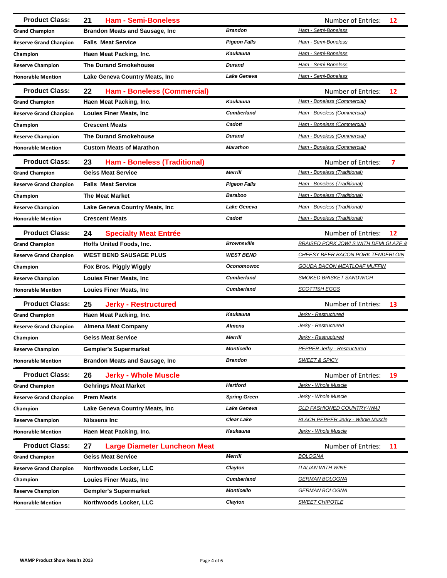| <b>Product Class:</b>         | 21<br><b>Ham - Semi-Boneless</b>          |                     | <b>Number of Entries:</b><br>12                 |
|-------------------------------|-------------------------------------------|---------------------|-------------------------------------------------|
| <b>Grand Champion</b>         | <b>Brandon Meats and Sausage, Inc</b>     | <b>Brandon</b>      | Ham - Semi-Boneless                             |
| <b>Reserve Grand Chanpion</b> | <b>Falls Meat Service</b>                 | <b>Pigeon Falls</b> | Ham - Semi-Boneless                             |
| Champion                      | Haen Meat Packing, Inc.                   | <b>Kaukauna</b>     | Ham - Semi-Boneless                             |
| <b>Reserve Champion</b>       | <b>The Durand Smokehouse</b>              | <b>Durand</b>       | Ham - Semi-Boneless                             |
| <b>Honorable Mention</b>      | Lake Geneva Country Meats, Inc.           | <b>Lake Geneva</b>  | Ham - Semi-Boneless                             |
| <b>Product Class:</b>         | 22<br><b>Ham - Boneless (Commercial)</b>  |                     | Number of Entries:<br>12                        |
| <b>Grand Champion</b>         | Haen Meat Packing, Inc.                   | <b>Kaukauna</b>     | Ham - Boneless (Commercial)                     |
| <b>Reserve Grand Chanpion</b> | <b>Louies Finer Meats, Inc</b>            | <b>Cumberland</b>   | Ham - Boneless (Commercial)                     |
| Champion                      | <b>Crescent Meats</b>                     | Cadott              | Ham - Boneless (Commercial)                     |
| <b>Reserve Champion</b>       | <b>The Durand Smokehouse</b>              | <b>Durand</b>       | Ham - Boneless (Commercial)                     |
| <b>Honorable Mention</b>      | <b>Custom Meats of Marathon</b>           | <b>Marathon</b>     | Ham - Boneless (Commercial)                     |
| <b>Product Class:</b>         | <b>Ham - Boneless (Traditional)</b><br>23 |                     | <b>Number of Entries:</b><br>7                  |
| <b>Grand Champion</b>         | <b>Geiss Meat Service</b>                 | <b>Merrill</b>      | Ham - Boneless (Traditional)                    |
| <b>Reserve Grand Chanpion</b> | <b>Falls Meat Service</b>                 | <b>Pigeon Falls</b> | Ham - Boneless (Traditional)                    |
| Champion                      | <b>The Meat Market</b>                    | <b>Baraboo</b>      | Ham - Boneless (Traditional)                    |
| <b>Reserve Champion</b>       | Lake Geneva Country Meats, Inc            | Lake Geneva         | Ham - Boneless (Traditional)                    |
| <b>Honorable Mention</b>      | <b>Crescent Meats</b>                     | Cadott              | Ham - Boneless (Traditional)                    |
| <b>Product Class:</b>         | 24<br><b>Specialty Meat Entrée</b>        |                     | Number of Entries:<br>12                        |
| <b>Grand Champion</b>         | Hoffs United Foods, Inc.                  | <b>Brownsville</b>  | <b>BRAISED PORK JOWLS WITH DEMI GLAZE &amp;</b> |
| <b>Reserve Grand Chanpion</b> | <b>WEST BEND SAUSAGE PLUS</b>             | <b>WEST BEND</b>    | <b>CHEESY BEER BACON PORK TENDERLOIN</b>        |
| Champion                      | Fox Bros. Piggly Wiggly                   | <b>Oconomowoc</b>   | <b>GOUDA BACON MEATLOAF MUFFIN</b>              |
| <b>Reserve Champion</b>       | <b>Louies Finer Meats, Inc</b>            | <b>Cumberland</b>   | <b>SMOKED BRISKET SANDWICH</b>                  |
| <b>Honorable Mention</b>      | <b>Louies Finer Meats, Inc.</b>           | <b>Cumberland</b>   | <b>SCOTTISH EGGS</b>                            |
| <b>Product Class:</b>         | 25<br><b>Jerky - Restructured</b>         |                     | <b>Number of Entries:</b><br>13                 |
| <b>Grand Champion</b>         | Haen Meat Packing, Inc.                   | Kaukauna            | Jerky - Restructured                            |
| <b>Reserve Grand Chanpion</b> | <b>Almena Meat Company</b>                | Almena              | Jerky - Restructured                            |
| Champion                      | <b>Geiss Meat Service</b>                 | <b>Merrill</b>      | Jerky - Restructured                            |
| <b>Reserve Champion</b>       | <b>Gempler's Supermarket</b>              | <b>Monticello</b>   | <b>PEPPER Jerky - Restructured</b>              |
| <b>Honorable Mention</b>      | <b>Brandon Meats and Sausage, Inc.</b>    | <b>Brandon</b>      | <b>SWEET &amp; SPICY</b>                        |
| <b>Product Class:</b>         | 26<br><b>Jerky - Whole Muscle</b>         |                     | Number of Entries:<br>19                        |
| <b>Grand Champion</b>         | <b>Gehrings Meat Market</b>               | <b>Hartford</b>     | Jerky - Whole Muscle                            |
| <b>Reserve Grand Chanpion</b> | <b>Prem Meats</b>                         | <b>Spring Green</b> | Jerky - Whole Muscle                            |
| Champion                      | Lake Geneva Country Meats, Inc.           | Lake Geneva         | OLD FASHIONED COUNTRY-WMJ                       |
| <b>Reserve Champion</b>       | <b>Nilssens Inc</b>                       | <b>Clear Lake</b>   | <b>BLACH PEPPER Jerky - Whole Muscle</b>        |
| <b>Honorable Mention</b>      | Haen Meat Packing, Inc.                   | <b>Kaukauna</b>     | Jerky - Whole Muscle                            |
| <b>Product Class:</b>         | 27<br><b>Large Diameter Luncheon Meat</b> |                     | Number of Entries:<br>11                        |
| <b>Grand Champion</b>         | <b>Geiss Meat Service</b>                 | <b>Merrill</b>      | <b>BOLOGNA</b>                                  |
| <b>Reserve Grand Chanpion</b> | Northwoods Locker, LLC                    | Clayton             | <u>ITALIAN WITH WINE</u>                        |
| Champion                      | <b>Louies Finer Meats, Inc</b>            | <b>Cumberland</b>   | <b>GERMAN BOLOGNA</b>                           |
| <b>Reserve Champion</b>       | <b>Gempler's Supermarket</b>              | <b>Monticello</b>   | <b>GERMAN BOLOGNA</b>                           |
| <b>Honorable Mention</b>      | Northwoods Locker, LLC                    | Clayton             | <b>SWEET CHIPOTLE</b>                           |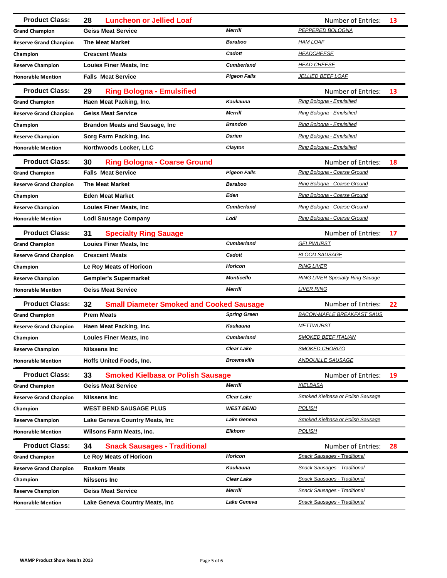| <b>Product Class:</b>         | <b>Luncheon or Jellied Loaf</b><br>28                 |                     | <b>Number of Entries:</b>               | 13 |
|-------------------------------|-------------------------------------------------------|---------------------|-----------------------------------------|----|
| <b>Grand Champion</b>         | <b>Geiss Meat Service</b>                             | <b>Merrill</b>      | PEPPERED BOLOGNA                        |    |
| <b>Reserve Grand Chanpion</b> | <b>The Meat Market</b>                                | <b>Baraboo</b>      | <b>HAM LOAF</b>                         |    |
| Champion                      | <b>Crescent Meats</b>                                 | Cadott              | <b>HEADCHEESE</b>                       |    |
| <b>Reserve Champion</b>       | <b>Louies Finer Meats, Inc.</b>                       | <b>Cumberland</b>   | <b>HEAD CHEESE</b>                      |    |
| <b>Honorable Mention</b>      | <b>Falls Meat Service</b>                             | <b>Pigeon Falls</b> | <b>JELLIED BEEF LOAF</b>                |    |
| <b>Product Class:</b>         | 29<br><b>Ring Bologna - Emulsified</b>                |                     | Number of Entries:                      | 13 |
| <b>Grand Champion</b>         | Haen Meat Packing, Inc.                               | <b>Kaukauna</b>     | Ring Bologna - Emulsified               |    |
| <b>Reserve Grand Chanpion</b> | <b>Geiss Meat Service</b>                             | <b>Merrill</b>      | Ring Bologna - Emulsified               |    |
| Champion                      | <b>Brandon Meats and Sausage, Inc.</b>                | <b>Brandon</b>      | Ring Bologna - Emulsified               |    |
| <b>Reserve Champion</b>       | Sorg Farm Packing, Inc.                               | <b>Darien</b>       | Ring Bologna - Emulsified               |    |
| <b>Honorable Mention</b>      | Northwoods Locker, LLC                                | Clayton             | Ring Bologna - Emulsified               |    |
| <b>Product Class:</b>         | 30<br><b>Ring Bologna - Coarse Ground</b>             |                     | Number of Entries:                      | 18 |
| <b>Grand Champion</b>         | <b>Falls Meat Service</b>                             | <b>Pigeon Falls</b> | Ring Bologna - Coarse Ground            |    |
| <b>Reserve Grand Chanpion</b> | <b>The Meat Market</b>                                | <b>Baraboo</b>      | Ring Bologna - Coarse Ground            |    |
| Champion                      | <b>Eden Meat Market</b>                               | Eden                | Ring Bologna - Coarse Ground            |    |
| <b>Reserve Champion</b>       | <b>Louies Finer Meats, Inc.</b>                       | <b>Cumberland</b>   | Ring Bologna - Coarse Ground            |    |
| <b>Honorable Mention</b>      | <b>Lodi Sausage Company</b>                           | Lodi                | Ring Bologna - Coarse Ground            |    |
| <b>Product Class:</b>         | 31<br><b>Specialty Ring Sauage</b>                    |                     | Number of Entries:                      | 17 |
| <b>Grand Champion</b>         | <b>Louies Finer Meats, Inc</b>                        | <b>Cumberland</b>   | <b>GELPWURST</b>                        |    |
| <b>Reserve Grand Chanpion</b> | <b>Crescent Meats</b>                                 | Cadott              | <b>BLOOD SAUSAGE</b>                    |    |
| Champion                      | Le Roy Meats of Horicon                               | <b>Horicon</b>      | <b>RING LIVER</b>                       |    |
| <b>Reserve Champion</b>       | Gempler's Supermarket                                 | <b>Monticello</b>   | <b>RING LIVER Specialty Ring Sauage</b> |    |
| <b>Honorable Mention</b>      | <b>Geiss Meat Service</b>                             | <b>Merrill</b>      | <b>LIVER RING</b>                       |    |
| <b>Product Class:</b>         | 32<br><b>Small Diameter Smoked and Cooked Sausage</b> |                     | Number of Entries:                      | 22 |
| <b>Grand Champion</b>         | <b>Prem Meats</b>                                     | <b>Spring Green</b> | <b>BACON-MAPLE BREAKFAST SAUS</b>       |    |
| <b>Reserve Grand Chanpion</b> | Haen Meat Packing, Inc.                               | Kaukauna            | <b>METTWURST</b>                        |    |
| Champion                      | <b>Louies Finer Meats, Inc</b>                        | <b>Cumberland</b>   | <b>SMOKED BEEF ITALIAN</b>              |    |
| <b>Reserve Champion</b>       | Nilssens Inc                                          | <b>Clear Lake</b>   | <b>SMOKED CHORIZO</b>                   |    |
| <b>Honorable Mention</b>      | Hoffs United Foods, Inc.                              | <b>Brownsville</b>  | <b>ANDOUILLE SAUSAGE</b>                |    |
| <b>Product Class:</b>         | 33<br><b>Smoked Kielbasa or Polish Sausage</b>        |                     | Number of Entries:                      | 19 |
| <b>Grand Champion</b>         | <b>Geiss Meat Service</b>                             | Merrill             | <b>KIELBASA</b>                         |    |
| <b>Reserve Grand Chanpion</b> | <b>Nilssens Inc.</b>                                  | <b>Clear Lake</b>   | Smoked Kielbasa or Polish Sausage       |    |
| Champion                      | <b>WEST BEND SAUSAGE PLUS</b>                         | <b>WEST BEND</b>    | <b>POLISH</b>                           |    |
| <b>Reserve Champion</b>       | Lake Geneva Country Meats, Inc.                       | Lake Geneva         | Smoked Kielbasa or Polish Sausage       |    |
| <b>Honorable Mention</b>      | Wilsons Farm Meats, Inc.                              | <b>Elkhorn</b>      | <b>POLISH</b>                           |    |
| <b>Product Class:</b>         | 34<br><b>Snack Sausages - Traditional</b>             |                     | Number of Entries:                      | 28 |
| <b>Grand Champion</b>         | Le Roy Meats of Horicon                               | <b>Horicon</b>      | Snack Sausages - Traditional            |    |
| <b>Reserve Grand Chanpion</b> | <b>Roskom Meats</b>                                   | <b>Kaukauna</b>     | <b>Snack Sausages - Traditional</b>     |    |
| Champion                      | <b>Nilssens Inc</b>                                   | <b>Clear Lake</b>   | <b>Snack Sausages - Traditional</b>     |    |
| <b>Reserve Champion</b>       | <b>Geiss Meat Service</b>                             | <b>Merrill</b>      | <b>Snack Sausages - Traditional</b>     |    |
| <b>Honorable Mention</b>      | Lake Geneva Country Meats, Inc.                       | Lake Geneva         | <b>Snack Sausages - Traditional</b>     |    |